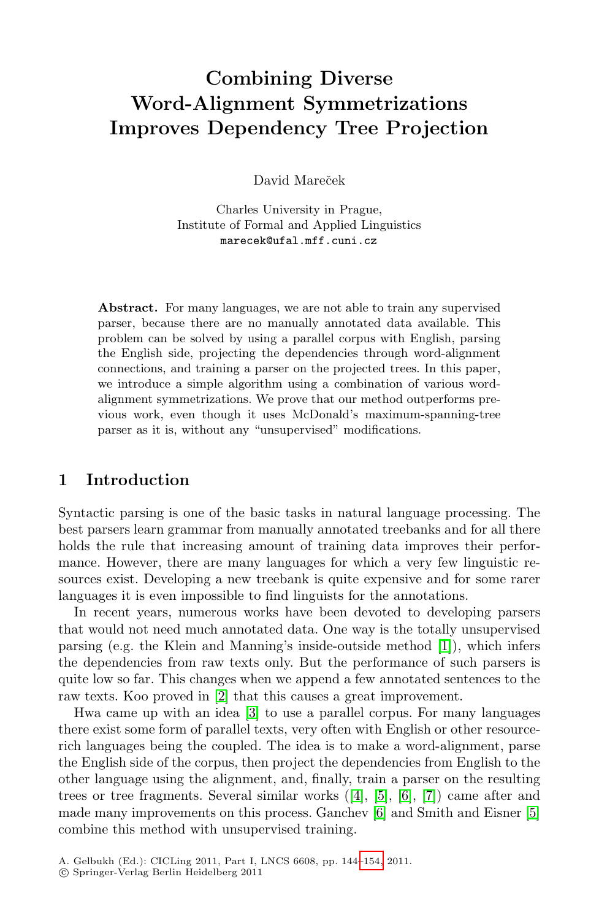# **Combining Diverse Word-Alignment Symmetrizations Improves Dependency Tree Projection**

David Mareček

Charles University in Prague, Institute of Formal and Applied Linguistics marecek@ufal.mff.cuni.cz

**Abstract.** For many languages, we are not able to train any supervised parser, because there are no manually annotated data available. This problem can be solved by using a parallel corpus with English, parsing the English side, projecting the dependencies through word-alignment connections, and training a parser on the projected trees. In this paper, we introduce a simple algorithm using a combination of various wordalignment symmetrizations. We prove that our method outperforms previous work, even though it uses McDonald's maximum-spanning-tree parser as it is, without any "unsupervised" modifications.

## **1 Introduction**

Syntactic parsing is one of the basic tasks i[n](#page-10-0) natural language processing. The best parsers learn grammar from manually annotated treebanks and for all there holds the rule that increasing amount of training data improves their performance. [H](#page-10-1)owever, there are many languages for which a very few linguistic resources exis[t.](#page-10-2) Developing a new treebank is quite expensive and for some rarer languages it is even impossible to find linguists for the annotations.

In recent years, numerous works have been devoted to developing parsers that would not need much annotated data. One way is the totally unsupervised parsing (e.g. the Klein and Manning's inside-outside method [1]), which infers the dependencies from raw t[ex](#page-10-3)ts [o](#page-10-4)nl[y.](#page-10-5) [But](#page-10-6) the performance of such parsers is quite low so far. This changes wh[en](#page-10-5) we append a few anno[tat](#page-10-4)ed sentences to the raw texts. Koo proved in [2] that this causes a great improvement.

Hwa came up with an idea [3] to use a parallel corpus. For many languages there exist some form of parall[el tex](#page-10-7)ts, very often with English or other resourcerich languages being the coupled. The idea is to make a word-alignment, parse the English side of the corpus, then project the dependencies from English to the other language using the alignment, and, finally, train a parser on the resulting trees or tree fragments. Several similar works ([4], [5], [6], [7]) came after and made many improvements on this process. Ganchev [6] and Smith and Eisner [5] combine this method with unsupervised training.

A. Gelbukh (Ed.): CICLing 2011, Part I, LNCS 6608, pp. 144–154, 2011.

<sup>-</sup>c Springer-Verlag Berlin Heidelberg 2011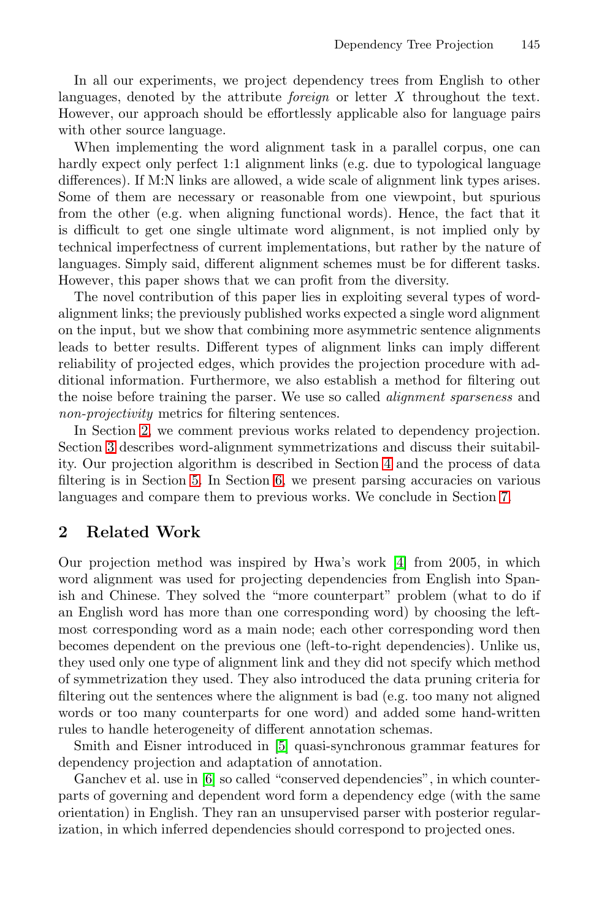In all our experiments, we project dependency trees from English to other languages, denoted by the attribute *foreign* or letter *X* throughout the text. However, our approach should be effortlessly applicable also for language pairs with other source language.

When implementing the word alignment task in a parallel corpus, one can hardly expect only perfect 1:1 alignment links (e.g. due to typological language differences). If M:N links are allowed, a wide scale of alignment link types arises. Some of them are necessary or reasonable from one viewpoint, but spurious from the other (e.g. when aligning functional words). Hence, the fact that it is difficult to get one single ultimate word alignment, is not implied only by technical imperfectness of current implementations, but rather by the nature of languages. Simply said, different alignment schemes must be for different tasks. However, this paper shows that we can profit from the diversity.

The novel contribution of this paper lies in exploiting several types of wordalignment links; the previously published works expected a single word alignment on the input, but we show that co[mb](#page-3-0)ining more asymmetric sentence alignments le[ads](#page-6-0) to better [re](#page-7-0)sults. Different types of alignment links can imply different reliability of projected edges, which provides the proj[ec](#page-9-0)tion procedure with additional information. Furthermore, we also establish a method for filtering out the noise before training the parser. We use so called *alignment sparseness* and *non-projectivity* metrics for filtering sentences.

In Section 2, we comment previo[us](#page-10-3) works related to dependency projection. Section 3 describes word-alignment symmetrizations and discuss their suitability. Our projection algorithm is described in Section 4 and the process of data filtering is in Section 5. In Section 6, we present parsing accuracies on various languages and compare them to previous works. We conclude in Section 7.

## **2 Related Work**

Our projection method was inspired by Hwa's work [4] from 2005, in which word alignment was used for projecting dependencies from English into Spanish and Chinese. They solved the "more counterpart" problem (what to do if an English word [ha](#page-10-4)s more than one corresponding word) by choosing the leftmost corresponding word as a main node; each other corresponding word then beco[me](#page-10-5)s dependent on the previous one (left-to-right dependencies). Unlike us, they used only one type of alignment link and they did not specify which method of symmetrization they used. They also introduced the data pruning criteria for filtering out the sentences where the alignment is bad (e.g. too many not aligned words or too many counterparts for one word) and added some hand-written rules to handle heterogeneity of different annotation schemas.

Smith and Eisner introduced in [5] quasi-synchronous grammar features for dependency projection and adaptation of annotation.

Ganchev et al. use in [6] so called "conserved dependencies", in which counterparts of governing and dependent word form a dependency edge (with the same orientation) in English. They ran an unsupervised parser with posterior regularization, in which inferred dependencies should correspond to projected ones.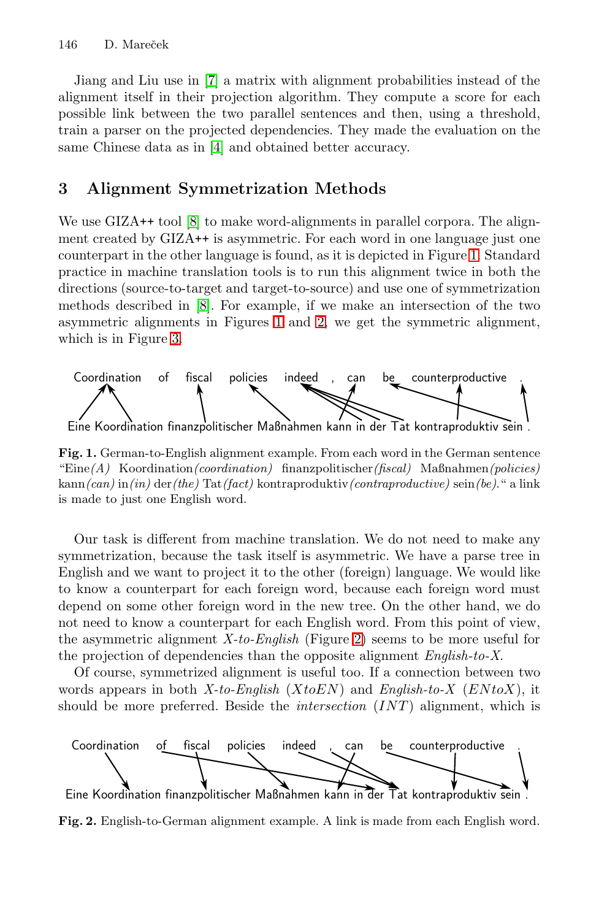Jiang and Liu use in [7] a matrix with alignment probabilities instead of the ali[gn](#page-10-8)ment itself in their projection algorithm. They compute a score for each possible link between the two parallel sentences and then, using a threshold, train a parser on the projected dependencies. T[hey](#page-2-0) made the evaluation on the same Chinese data as in [4] and obtained better accuracy.

## **3 [A](#page-10-8)lignme[nt](#page-2-0) Sy[m](#page-2-1)metrization Methods**

[W](#page-3-1)e use GIZA<sup>++</sup> tool [8] to make word-alignments in parallel corpora. The alignment created by GIZA++ is asymmetric. For each word in one language just one counterpart in the other language is found, as it is depicted in Figure 1. Standard practice in machine translation tools is to run this alignment twice in both the directions (source-to-target and target-to-source) and use one of symmetrization methods described in [8]. For example, if we make an intersection of the two asymmetric alignments in Figures 1 and 2, we get the symmetric alignment, which is in Figure 3.

<span id="page-2-0"></span>

**Fig. 1.** German-to-English alignment example. From each word in the German sentence "Eine*(A)* Koordination*(coordination)* finanzpolitischer*(fiscal)* Maßnahmen*(policies)* kann*(can)* in*(in)* der*(the)* Tat*(fact)* kontraproduktiv*(contraproductive)* sein*(be)*." a link is made to just one English wor[d.](#page-2-1)

Our task is different from machine translation. We do not need to make any symmetrization, because the task itself is asymmetric. We have a parse tree in English and we want to project it to the other (foreign) language. We would like to know a counterpart for each foreign word, because each foreign word must depend on some other foreign word in the new tree. On the other hand, we do not need to know a counterpart for each English word. From this point of view, the asymmetric alignment *X-to-English* (Figure 2) seems to be more useful for the projection of dependencies than the opposite alignment *English-to-X*.

Of course, symmetrized alignment is useful too. If a connection between two words appears in both *X-to-English* (*XtoEN*) and *English-to-X* (*EN toX*), it should be more preferred. Beside the *intersection* (*INT* ) alignment, which is

<span id="page-2-1"></span>

**Fig. 2.** English-to-German alignment example. A link is made from each English word.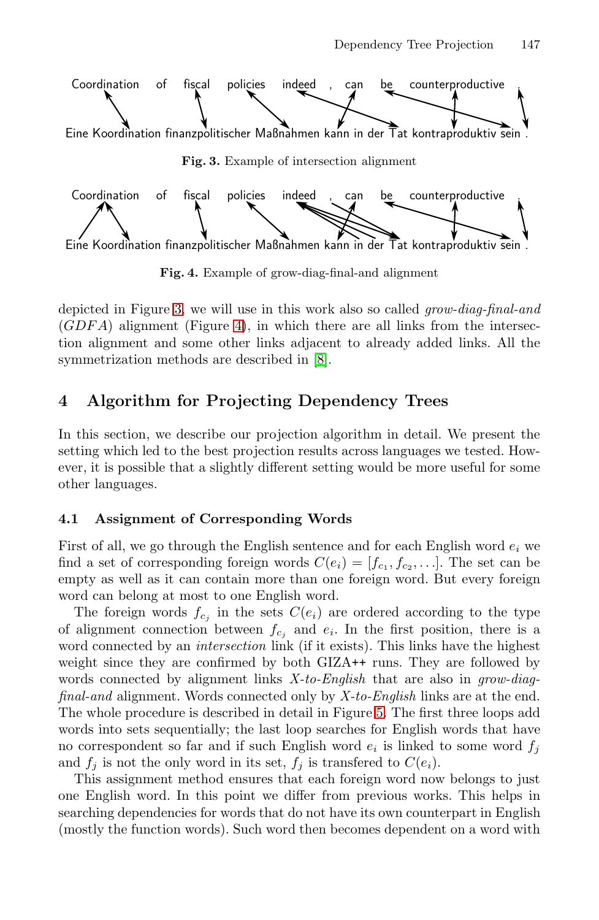<span id="page-3-2"></span><span id="page-3-1"></span>

**Fig. 4.** Example of grow-diag-final-and alignment

<span id="page-3-0"></span>depicted in Figure 3, we will use in this work also so called *grow-diag-final-and* (*GDF A*) alignment (Figure 4), in which there are all links from the intersection alignment and some other links adjacent to already added links. All the symmetrization methods are described in [8].

## **4 Algorithm for Projecting Dependency Trees**

In this section, we describe our projection algorithm in detail. We present the setting which led to the best projection results across languages we tested. However, it is possible that a slightly different setting would be more useful for some other languages.

## **4.1 Assignment of Corresponding Words**

First of all, we go through the English sentence and for each English word  $e_i$  we find a set of corresponding foreign words  $C(e_i)=[f_{c_1}, f_{c_2}, \ldots]$ . The set can be empty as well as it can contain [mo](#page-4-0)re than one foreign word. But every foreign word can belong at most to one English word.

The foreign words  $f_{c_j}$  in the sets  $C(e_i)$  are ordered according to the type of alignment connection between  $f_{c_j}$  and  $e_i$ . In the first position, there is a word connected by an *intersection* link (if it exists). This links have the highest weight since they are confirmed by both GIZA++ runs. They are followed by words connected by alignment links *X-to-English* that are also in *grow-diagfinal-and* alignment. Words connected only by *X-to-English* links are at the end. The whole procedure is described in detail in Figure 5. The first three loops add words into sets sequentially; the last loop searches for English words that have no correspondent so far and if such English word  $e_i$  is linked to some word  $f_j$ and  $f_i$  is not the only word in its set,  $f_i$  is transfered to  $C(e_i)$ .

This assignment method ensures that each foreign word now belongs to just one English word. In this point we differ from previous works. This helps in searching dependencies for words that do not have its own counterpart in English (mostly the function words). Such word then becomes dependent on a word with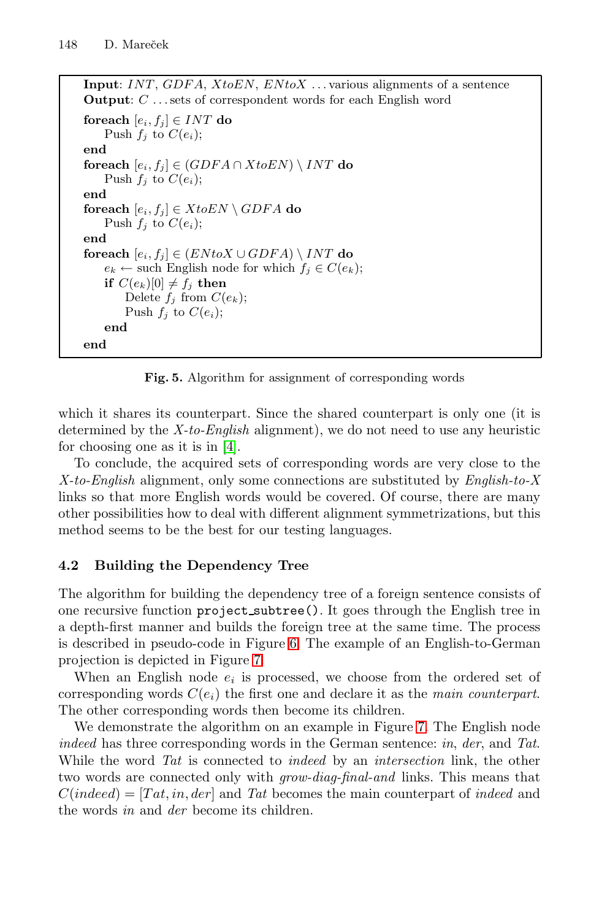```
Input: INT, GDF A, XtoEN, EN toX . . . various alignments of a sentence
Output: C . . . sets of correspondent words for each English word
foreach [e_i, f_j] \in INT do
   Push f_j to C(e_i);
end
foreach [ei, fj ] ∈ (GDF A ∩ XtoEN) \ INT do
   Push f_j to C(e_i);
end
{\bf forceach} [e_i, f_j] \in XtoEN \setminus GDFA do
   Push f_i to C(e_i);
end
foreach [ei, fj ] ∈ (EN toX ∪ GDF A) \ INT do
   e_k \leftarrow such English node for which f_j \in C(e_k);
   if C(e_k)[0] \neq f_j then
       Delete f_j from C(e_k);
       Push f_j to C(e_i);
   end
end
```
<span id="page-4-0"></span>**Fig. 5.** Algorithm for assignment of corresponding words

which it shares its counterpart. Since the shared counterpart is only one (it is determined by the *X-to-English* alignment), we do not need to use any heuristic for choosing one as it is in [4].

To conclude, the acquired sets of corresponding words are very close to the *X-to-English* alignment, only some connections are substituted by *English-to-X* links so that more English words would be covered. Of course, there are many other possibilities [how](#page-5-0) to deal with different alignment symmetrizations, but this method see[ms](#page-5-1) to be the best for our testing languages.

## **4.2 Building the Dependency Tree**

The algorithm for building the depende[nc](#page-5-1)y tree of a foreign sentence consists of one recursive function project subtree(). It goes through the English tree in a depth-first manner and builds the foreign tree at the same time. The process is described in pseudo-code in Figure 6. The example of an English-to-German projection is depicted in Figure 7.

When an English node  $e_i$  is processed, we choose from the ordered set of corresponding words  $C(e_i)$  the first one and declare it as the *main counterpart*. The other corresponding words then become its children.

We demonstrate the algorithm on an example in Figure 7. The English node *indeed* has three corresponding words in the German sentence: *in*, *der*, and *Tat*. While the word *Tat* is connected to *indeed* by an *intersection* link, the other two words are connected only with *grow-diag-final-and* links. This means that  $C(indeed) = [Tat, in, der]$  and *Tat* becomes the main counterpart of *indeed* and the words *in* and *der* become its children.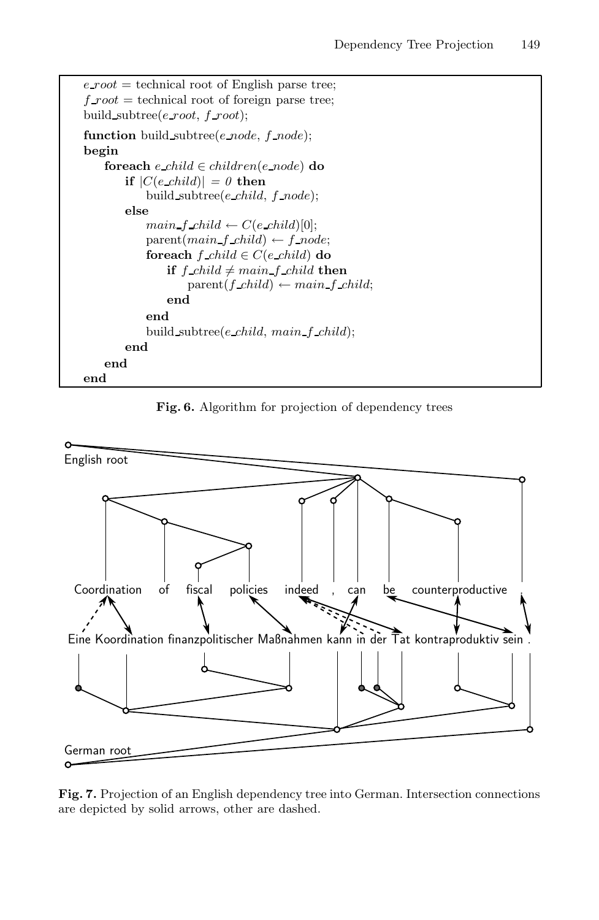```
e\text{-}root = technical root of English parse tree;
f\text{-}root = technical root of foreign parse tree;
build subtree(e root, f root);
function build subtree(e node, f node);
begin
    foreach e child ∈ children(e node) do
       if |C(e \text{ child})| = 0 then
            build subtree(e child, f node);
       else
            main\_f\_child \leftarrow C(e\_child)[0];parent(main_f\_child) \leftarrow f\_node;foreach f child \in C(e child) do
                if f child \neq main f child then
                    parent(f\_child) \leftarrow main\_f\_child;end
            end
            build subtree(e child, main f child);
       end
    end
end
```
<span id="page-5-0"></span>**Fig. 6.** Algorithm for projection of dependency trees



<span id="page-5-1"></span>**Fig. 7.** Projection of an English dependency tree into German. Intersection connections are depicted by solid arrows, other are dashed.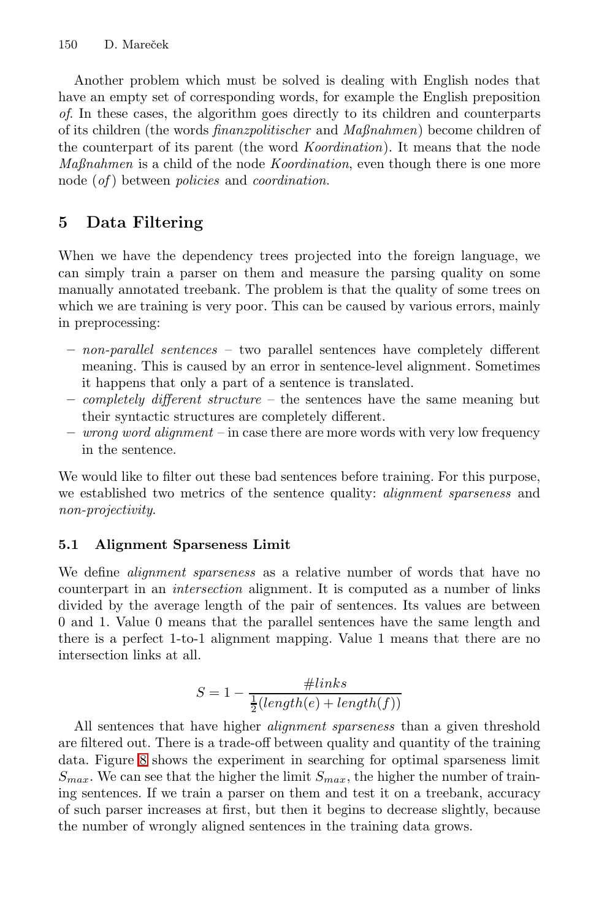<span id="page-6-0"></span>Another problem which must be solved is dealing with English nodes that have an empty set of corresponding words, for example the English preposition *of*. In these cases, the algorithm goes directly to its children and counterparts of its children (the words *finanzpolitischer* and *Maßnahmen*) become children of the counterpart of its parent (the word *Koordination*). It means that the node *Maßnahmen* is a child of the node *Koordination*, even though there is one more node (*of* ) between *policies* and *coordination*.

## **5 Data Filtering**

When we have the dependency trees projected into the foreign language, we can simply train a parser on them and measure the parsing quality on some manually annotated treebank. The problem is that the quality of some trees on which we are training is very poor. This can be caused by various errors, mainly in preprocessing:

- **–** *non-parallel sentences* two parallel sentences have completely different meaning. This is caused by an error in sentence-level alignment. Sometimes it happens that only a part of a sentence is translated.
- **–** *completely different structure* the sentences have the same meaning but their syntactic structures are completely different.
- **–** *wrong word alignment* in case there are more words with very low frequency in the sentence.

We would like to filter out these bad sentences before training. For this purpose, we established two metrics of the sentence quality: *alignment sparseness* and *non-projectivity*.

#### **5.1 Alignment Sparseness Limit**

We define *alignment sparseness* as a relative number of words that have no counterpart in an *intersection* alignment. It is computed as a number of links divided by the average length of the pair of sentences. Its values are between 0 and 1. Value 0 means that the parallel sentences have the same length and there is a perfect 1-to-1 alignment mapping. Value 1 means that there are no intersection links at all.

$$
S = 1 - \frac{\#links}{\frac{1}{2}(length(e) + length(f))}
$$

All sentences that have higher *alignment sparseness* than a given threshold are filtered out. There is a trade-off between quality and quantity of the training data. Figure 8 shows the experiment in searching for optimal sparseness limit  $S_{max}$ . We can see that the higher the limit  $S_{max}$ , the higher the number of training sentences. If we train a parser on them and test it on a treebank, accuracy of such parser increases at first, but then it begins to decrease slightly, because the number of wrongly aligned sentences in the training data grows.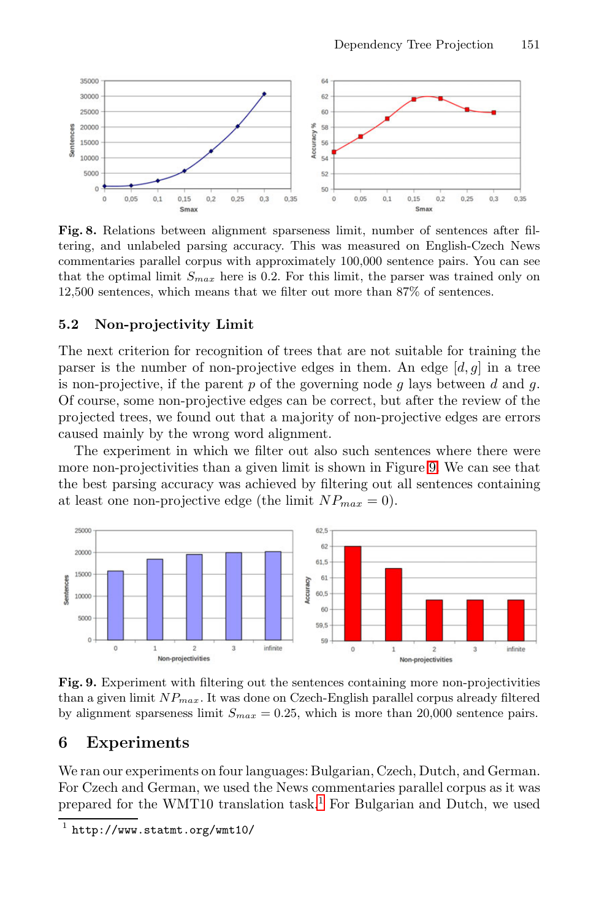

**Fig. 8.** Relations between alignment sparseness limit, number of sentences after filtering, and unlabeled parsing accuracy. This was measured on English-Czech News commentaries parallel corpus with approximately 100,000 sentence pairs. You can see that the optimal limit  $S_{max}$  here is 0.2. For this limit, the parser was trained only on 12,500 sentences, which means that we filter out more than 87% of sentences.

#### **5.2 Non-projectivity Limit**

The next criterion for recognition of trees [th](#page-7-1)at are not suitable for training the parser is the number of non-projective edges in them. An edge  $[d, g]$  in a tree is non-projective, if the parent *p* of the governing node *g* lays between *d* and *g*. Of course, some non-projective edges can be correct, but after the review of the projected trees, we found out that a majority of non-projective edges are errors caused mainly by the wrong word alignment.

The experiment in which we filter out also such sentences where there were more non-projectivities than a given limit is shown in Figure 9. We can see that the best parsing accuracy was achieved by filtering out all sentences containing at least one non-projective edge (the limit  $NP_{max} = 0$ ).

<span id="page-7-1"></span><span id="page-7-0"></span>

**Fig. 9.** Experiment with [fil](#page-7-2)tering out the sentences containing more non-projectivities than a given limit *NPmax*. It was done on Czech-English parallel corpus already filtered by alignment sparseness limit  $S_{max} = 0.25$ , which is more than 20,000 sentence pairs.

#### <span id="page-7-2"></span>**6 Experiments**

We ran our experiments on four languages: Bulgarian, Czech, Dutch, and German. For Czech and German, we used the News commentaries parallel corpus as it was prepared for the WMT10 translation task.<sup>1</sup> For Bulgarian and Dutch, we used

 $\frac{1}{1}$  http://www.statmt.org/wmt10/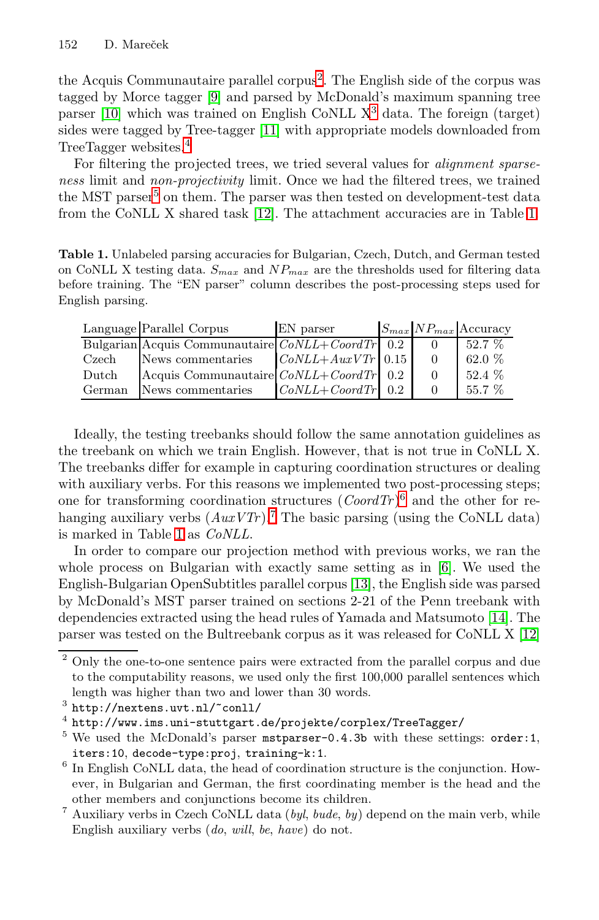the Acquis C[omm](#page-10-9)unautaire parallel corpus<sup>2</sup>. The English [sid](#page-8-0)e of the corpus was tagged by Morce tagger [9] and parsed by McDonald's maximum spanning tree parser [10] which was trained on English CoNLL  $X<sup>3</sup>$  data. The foreign (target) sides were tagged by Tree-tagger [11] with appropriate models downloaded from TreeTagger websites.<sup>4</sup>

<span id="page-8-0"></span>For filtering the projected trees, we tried several values for *alignment sparseness* limit and *non-projectivity* limit. Once we had the filtered trees, we trained the MST parser<sup>5</sup> on them. The parser was then tested on development-test data from the CoNLL X shared task [12]. The attachment accuracies are in Table 1.

**Table 1.** Unlabeled parsing accuracies for Bulgarian, Czech, Dutch, and German tested on CoNLL X testing data. *Smax* and *NPmax* are the thresholds used for filtering data before training. The "EN parser" column describes the post-processing steps used for English parsing.

|        | Language Parallel Corpus                           | EN parser           |  | $ S_{max} NP_{max} $ Accuracy |
|--------|----------------------------------------------------|---------------------|--|-------------------------------|
|        | Bulgarian Acquis Communautaire $CoNLL+CoordTr$ 0.2 |                     |  | $52.7\%$                      |
| Czech  | News commentaries                                  | $CoNLL+AuxVTr$ 0.15 |  | 62.0 %                        |
| Dutch  | Acquis Communautaire $CoNLL+CoordTr$ 0.2           |                     |  | 52.4 %                        |
| German | News commentaries                                  | $CoNLL+CoordTr$ 0.2 |  | $55.7\%$                      |

Ideally, the testing treebanks should follo[w](#page-10-5) the same annotation guidelines as the treebank on which we tra[in E](#page-10-10)nglish. However, that is not true in CoNLL X. The treebanks differ for example in capturing coordination structures or dealing with auxiliary verbs. For this reasons we implemente[d tw](#page-10-11)o post-processing steps; one for tr[an](#page-10-9)sforming coordination structures  $(CoordTr)^6$  and the other for rehanging auxiliary verbs  $(AuxVTr)$ .<sup>7</sup> The basic parsing (using the CoNLL data) is marked in Table 1 as *CoNLL*.

In order to compare our projection method with previous works, we ran the whole process on Bulgarian with exactly same setting as in [6]. We used the English-Bulgarian OpenSubtitles parallel corpus [13], the English side was parsed by McDonald's MST parser trained on sections 2-21 of the Penn treebank with dependencies extracted using the head rules of Yamada and Matsumoto [14]. The parser was tested on the Bultreebank corpus as it was released for CoNLL X [12]

<span id="page-8-1"></span><sup>&</sup>lt;sup>2</sup> Only the one-to-one sentence pairs were extracted from the parallel corpus and due to the computability reasons, we used only the first 100,000 parallel sentences which length was higher than two and lower than 30 words.

<span id="page-8-2"></span><sup>3</sup> http://nextens.uvt.nl/~conll/

<sup>4</sup> http://www.ims.uni-stuttgart.de/projekte/corplex/TreeTagger/

<sup>&</sup>lt;sup>5</sup> We used the McDonald's parser mstparser-0.4.3b with these settings: order:1, iters:10, decode-type:proj, training-k:1.

<sup>6</sup> In English CoNLL data, the head of coordination structure is the conjunction. However, in Bulgarian and German, the first coordinating member is the head and the other members and conjunctions become its children.

<sup>7</sup> Auxiliary verbs in Czech CoNLL data (*byl*, *bude*, *by*) depend on the main verb, while English auxiliary verbs (*do*, *will*, *be*, *have*) do not.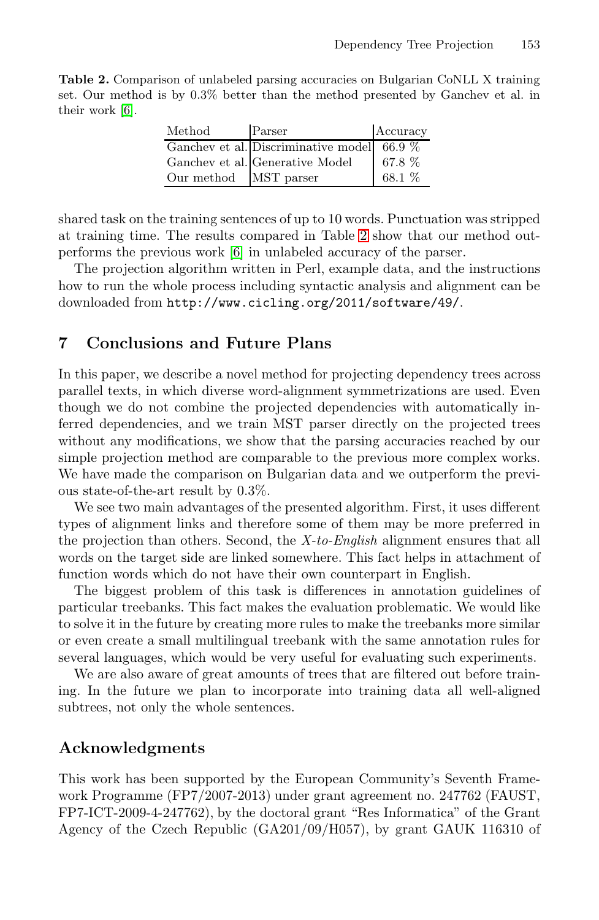**Table 2.** Comparison of unlabeled parsing accuracies on Bulgarian CoNLL X training set. Our method is by 0.3% better than the method presented by Ganchev et al. in their work [6].

| Method     | Parser                                       | Accuracy |
|------------|----------------------------------------------|----------|
|            | Ganchev et al. Discriminative model 66.9 $%$ |          |
|            | Ganchev et al. Generative Model              | 67.8 %   |
| Our method | MST parser                                   | 68.1 %   |

<span id="page-9-0"></span>shared task on the training sentences of up to 10 words. Punctuation was stripped at training time. The results compared in Table 2 show that our method outperforms the previous work [6] in unlabeled accuracy of the parser.

The projection algorithm written in Perl, example data, and the instructions how to run the whole process including syntactic analysis and alignment can be downloaded from http://www.cicling.org/2011/software/49/.

## **7 Conclusions and Future Plans**

In this paper, we describe a novel method for projecting dependency trees across parallel texts, in which diverse word-alignment symmetrizations are used. Even though we do not combine the projected dependencies with automatically inferred dependencies, and we train MST parser directly on the projected trees without any modifications, we show that the parsing accuracies reached by our simple projection method are comparable to the previous more complex works. We have made the comparison on Bulgarian data and we outperform the previous state-of-the-art result by 0.3%.

We see two main advantages of the presented algorithm. First, it uses different types of alignment links and therefore some of them may be more preferred in the projection than others. Second, the *X-to-English* alignment ensures that all words on the target side are linked somewhere. This fact helps in attachment of function words which do not have their own counterpart in English.

The biggest problem of this task is differences in annotation guidelines of particular treebanks. This fact makes the evaluation problematic. We would like to solve it in the future by creating more rules to make the treebanks more similar or even create a small multilingual treebank with the same annotation rules for several languages, which would be very useful for evaluating such experiments.

We are also aware of great amounts of trees that are filtered out before training. In the future we plan to incorporate into training data all well-aligned subtrees, not only the whole sentences.

#### **Acknowledgments**

This work has been supported by the European Community's Seventh Framework Programme (FP7/2007-2013) under grant agreement no. 247762 (FAUST, FP7-ICT-2009-4-247762), by the doctoral grant "Res Informatica" of the Grant Agency of the Czech Republic (GA201/09/H057), by grant GAUK 116310 of